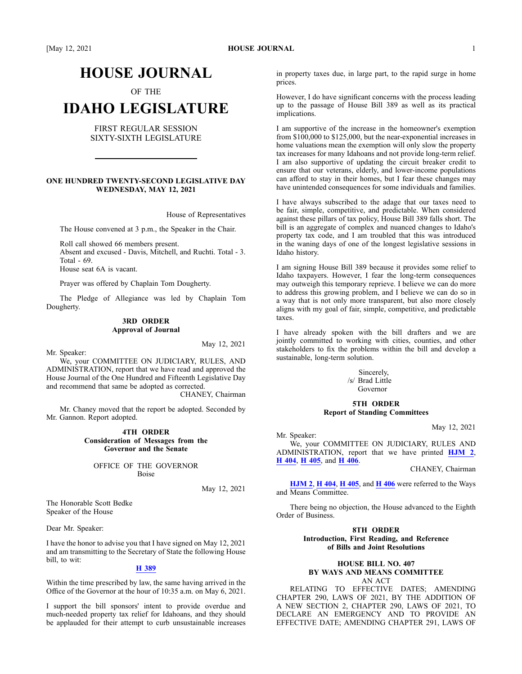# [May 12, 2021 **HOUSE JOURNAL** 1

# **HOUSE JOURNAL**

OF THE

# **IDAHO LEGISLATURE**

# FIRST REGULAR SESSION SIXTY-SIXTH LEGISLATURE

## **ONE HUNDRED TWENTY-SECOND LEGISLATIVE DAY WEDNESDAY, MAY 12, 2021**

House of Representatives

The House convened at 3 p.m., the Speaker in the Chair.

Roll call showed 66 members present. Absent and excused - Davis, Mitchell, and Ruchti. Total - 3. Total - 69. House seat 6A is vacant.

Prayer was offered by Chaplain Tom Dougherty.

The Pledge of Allegiance was led by Chaplain Tom Dougherty.

#### **3RD ORDER Approval of Journal**

Mr. Speaker:

May 12, 2021

We, your COMMITTEE ON JUDICIARY, RULES, AND ADMINISTRATION, repor<sup>t</sup> that we have read and approved the House Journal of the One Hundred and Fifteenth Legislative Day and recommend that same be adopted as corrected.

CHANEY, Chairman

Mr. Chaney moved that the repor<sup>t</sup> be adopted. Seconded by Mr. Gannon. Report adopted.

#### **4TH ORDER Consideration of Messages from the Governor and the Senate**

OFFICE OF THE GOVERNOR Boise

May 12, 2021

The Honorable Scott Bedke Speaker of the House

Dear Mr. Speaker:

I have the honor to advise you that I have signed on May 12, 2021 and am transmitting to the Secretary of State the following House bill, to wit:

# **H [389](https://lso-legwebwp.lso.local/sessioninfo/2021/legislation/H0389)**

Within the time prescribed by law, the same having arrived in the Office of the Governor at the hour of 10:35 a.m. on May 6, 2021.

I suppor<sup>t</sup> the bill sponsors' intent to provide overdue and much-needed property tax relief for Idahoans, and they should be applauded for their attempt to curb unsustainable increases in property taxes due, in large part, to the rapid surge in home prices.

However, I do have significant concerns with the process leading up to the passage of House Bill 389 as well as its practical implications.

I am supportive of the increase in the homeowner's exemption from \$100,000 to \$125,000, but the near-exponential increases in home valuations mean the exemption will only slow the property tax increases for many Idahoans and not provide long-term relief. I am also supportive of updating the circuit breaker credit to ensure that our veterans, elderly, and lower-income populations can afford to stay in their homes, but I fear these changes may have unintended consequences for some individuals and families.

I have always subscribed to the adage that our taxes need to be fair, simple, competitive, and predictable. When considered against these pillars of tax policy, House Bill 389 falls short. The bill is an aggregate of complex and nuanced changes to Idaho's property tax code, and I am troubled that this was introduced in the waning days of one of the longest legislative sessions in Idaho history.

I am signing House Bill 389 because it provides some relief to Idaho taxpayers. However, I fear the long-term consequences may outweigh this temporary reprieve. I believe we can do more to address this growing problem, and I believe we can do so in <sup>a</sup> way that is not only more transparent, but also more closely aligns with my goal of fair, simple, competitive, and predictable taxes.

I have already spoken with the bill drafters and we are jointly committed to working with cities, counties, and other stakeholders to fix the problems within the bill and develop <sup>a</sup> sustainable, long-term solution.

> Sincerely, /s/ Brad Little Governor

## **5TH ORDER Report of Standing Committees**

May 12, 2021

Mr. Speaker: We, your COMMITTEE ON JUDICIARY, RULES AND ADMINISTRATION, repor<sup>t</sup> that we have printed **[HJM](https://lso-legwebwp.lso.local/sessioninfo/2021/legislation/HJM002) 2**, **H [404](https://lso-legwebwp.lso.local/sessioninfo/2021/legislation/H0404)**, **H [405](https://lso-legwebwp.lso.local/sessioninfo/2021/legislation/H0405)**, and **H [406](https://lso-legwebwp.lso.local/sessioninfo/2021/legislation/H0406)**.

CHANEY, Chairman

**[HJM](https://lso-legwebwp.lso.local/sessioninfo/2021/legislation/HJM002) 2**, **H [404](https://lso-legwebwp.lso.local/sessioninfo/2021/legislation/H0404)**, **[H405](https://lso-legwebwp.lso.local/sessioninfo/2021/legislation/H0405)**, and **H [406](https://lso-legwebwp.lso.local/sessioninfo/2021/legislation/H0406)** were referred to the Ways and Means Committee.

There being no objection, the House advanced to the Eighth Order of Business.

#### **8TH ORDER Introduction, First Reading, and Reference of Bills and Joint Resolutions**

#### **HOUSE BILL NO. 407 BY WAYS AND MEANS COMMITTEE** AN ACT

RELATING TO EFFECTIVE DATES; AMENDING CHAPTER 290, LAWS OF 2021, BY THE ADDITION OF A NEW SECTION 2, CHAPTER 290, LAWS OF 2021, TO DECLARE AN EMERGENCY AND TO PROVIDE AN EFFECTIVE DATE; AMENDING CHAPTER 291, LAWS OF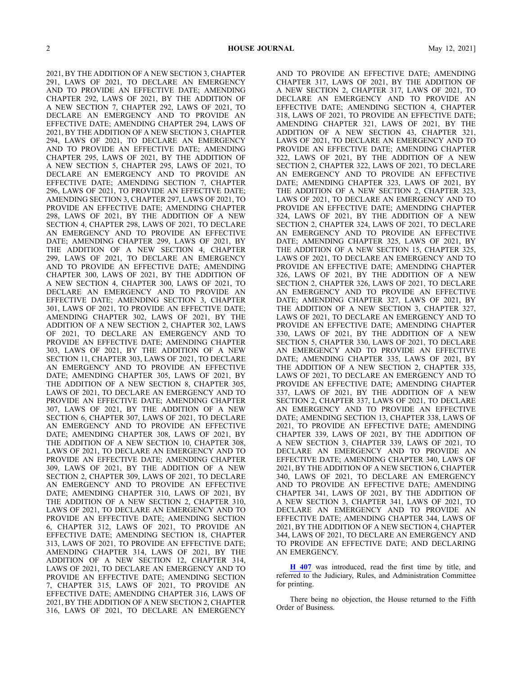2021, BY THE ADDITION OF A NEW SECTION 3, CHAPTER 291, LAWS OF 2021, TO DECLARE AN EMERGENCY AND TO PROVIDE AN EFFECTIVE DATE; AMENDING CHAPTER 292, LAWS OF 2021, BY THE ADDITION OF A NEW SECTION 7, CHAPTER 292, LAWS OF 2021, TO DECLARE AN EMERGENCY AND TO PROVIDE AN EFFECTIVE DATE; AMENDING CHAPTER 294, LAWS OF 2021, BY THE ADDITION OF A NEW SECTION 3, CHAPTER 294, LAWS OF 2021, TO DECLARE AN EMERGENCY AND TO PROVIDE AN EFFECTIVE DATE; AMENDING CHAPTER 295, LAWS OF 2021, BY THE ADDITION OF A NEW SECTION 5, CHAPTER 295, LAWS OF 2021, TO DECLARE AN EMERGENCY AND TO PROVIDE AN EFFECTIVE DATE; AMENDING SECTION 7, CHAPTER 296, LAWS OF 2021, TO PROVIDE AN EFFECTIVE DATE; AMENDING SECTION 3, CHAPTER 297, LAWS OF 2021, TO PROVIDE AN EFFECTIVE DATE; AMENDING CHAPTER 298, LAWS OF 2021, BY THE ADDITION OF A NEW SECTION 4, CHAPTER 298, LAWS OF 2021, TO DECLARE AN EMERGENCY AND TO PROVIDE AN EFFECTIVE DATE; AMENDING CHAPTER 299, LAWS OF 2021, BY THE ADDITION OF A NEW SECTION 4, CHAPTER 299, LAWS OF 2021, TO DECLARE AN EMERGENCY AND TO PROVIDE AN EFFECTIVE DATE; AMENDING CHAPTER 300, LAWS OF 2021, BY THE ADDITION OF A NEW SECTION 4, CHAPTER 300, LAWS OF 2021, TO DECLARE AN EMERGENCY AND TO PROVIDE AN EFFECTIVE DATE; AMENDING SECTION 3, CHAPTER 301, LAWS OF 2021, TO PROVIDE AN EFFECTIVE DATE; AMENDING CHAPTER 302, LAWS OF 2021, BY THE ADDITION OF A NEW SECTION 2, CHAPTER 302, LAWS OF 2021, TO DECLARE AN EMERGENCY AND TO PROVIDE AN EFFECTIVE DATE; AMENDING CHAPTER 303, LAWS OF 2021, BY THE ADDITION OF A NEW SECTION 11, CHAPTER 303, LAWS OF 2021, TO DECLARE AN EMERGENCY AND TO PROVIDE AN EFFECTIVE DATE; AMENDING CHAPTER 305, LAWS OF 2021, BY THE ADDITION OF A NEW SECTION 8, CHAPTER 305, LAWS OF 2021, TO DECLARE AN EMERGENCY AND TO PROVIDE AN EFFECTIVE DATE; AMENDING CHAPTER 307, LAWS OF 2021, BY THE ADDITION OF A NEW SECTION 6, CHAPTER 307, LAWS OF 2021, TO DECLARE AN EMERGENCY AND TO PROVIDE AN EFFECTIVE DATE; AMENDING CHAPTER 308, LAWS OF 2021, BY THE ADDITION OF A NEW SECTION 10, CHAPTER 308, LAWS OF 2021, TO DECLARE AN EMERGENCY AND TO PROVIDE AN EFFECTIVE DATE; AMENDING CHAPTER 309, LAWS OF 2021, BY THE ADDITION OF A NEW SECTION 2, CHAPTER 309, LAWS OF 2021, TO DECLARE AN EMERGENCY AND TO PROVIDE AN EFFECTIVE DATE; AMENDING CHAPTER 310, LAWS OF 2021, BY THE ADDITION OF A NEW SECTION 2, CHAPTER 310, LAWS OF 2021, TO DECLARE AN EMERGENCY AND TO PROVIDE AN EFFECTIVE DATE; AMENDING SECTION 6, CHAPTER 312, LAWS OF 2021, TO PROVIDE AN EFFECTIVE DATE; AMENDING SECTION 18, CHAPTER 313, LAWS OF 2021, TO PROVIDE AN EFFECTIVE DATE; AMENDING CHAPTER 314, LAWS OF 2021, BY THE ADDITION OF A NEW SECTION 12, CHAPTER 314, LAWS OF 2021, TO DECLARE AN EMERGENCY AND TO PROVIDE AN EFFECTIVE DATE; AMENDING SECTION 7, CHAPTER 315, LAWS OF 2021, TO PROVIDE AN EFFECTIVE DATE; AMENDING CHAPTER 316, LAWS OF 2021, BY THE ADDITION OF A NEW SECTION 2, CHAPTER 316, LAWS OF 2021, TO DECLARE AN EMERGENCY

AND TO PROVIDE AN EFFECTIVE DATE; AMENDING CHAPTER 317, LAWS OF 2021, BY THE ADDITION OF A NEW SECTION 2, CHAPTER 317, LAWS OF 2021, TO DECLARE AN EMERGENCY AND TO PROVIDE AN EFFECTIVE DATE; AMENDING SECTION 4, CHAPTER 318, LAWS OF 2021, TO PROVIDE AN EFFECTIVE DATE; AMENDING CHAPTER 321, LAWS OF 2021, BY THE ADDITION OF A NEW SECTION 43, CHAPTER 321, LAWS OF 2021, TO DECLARE AN EMERGENCY AND TO PROVIDE AN EFFECTIVE DATE; AMENDING CHAPTER 322, LAWS OF 2021, BY THE ADDITION OF A NEW SECTION 2, CHAPTER 322, LAWS OF 2021, TO DECLARE AN EMERGENCY AND TO PROVIDE AN EFFECTIVE DATE; AMENDING CHAPTER 323, LAWS OF 2021, BY THE ADDITION OF A NEW SECTION 2, CHAPTER 323, LAWS OF 2021, TO DECLARE AN EMERGENCY AND TO PROVIDE AN EFFECTIVE DATE; AMENDING CHAPTER 324, LAWS OF 2021, BY THE ADDITION OF A NEW SECTION 2, CHAPTER 324, LAWS OF 2021, TO DECLARE AN EMERGENCY AND TO PROVIDE AN EFFECTIVE DATE; AMENDING CHAPTER 325, LAWS OF 2021, BY THE ADDITION OF A NEW SECTION 15, CHAPTER 325, LAWS OF 2021, TO DECLARE AN EMERGENCY AND TO PROVIDE AN EFFECTIVE DATE; AMENDING CHAPTER 326, LAWS OF 2021, BY THE ADDITION OF A NEW SECTION 2, CHAPTER 326, LAWS OF 2021, TO DECLARE AN EMERGENCY AND TO PROVIDE AN EFFECTIVE DATE; AMENDING CHAPTER 327, LAWS OF 2021, BY THE ADDITION OF A NEW SECTION 3, CHAPTER 327, LAWS OF 2021, TO DECLARE AN EMERGENCY AND TO PROVIDE AN EFFECTIVE DATE; AMENDING CHAPTER 330, LAWS OF 2021, BY THE ADDITION OF A NEW SECTION 5, CHAPTER 330, LAWS OF 2021, TO DECLARE AN EMERGENCY AND TO PROVIDE AN EFFECTIVE DATE; AMENDING CHAPTER 335, LAWS OF 2021, BY THE ADDITION OF A NEW SECTION 2, CHAPTER 335, LAWS OF 2021, TO DECLARE AN EMERGENCY AND TO PROVIDE AN EFFECTIVE DATE; AMENDING CHAPTER 337, LAWS OF 2021, BY THE ADDITION OF A NEW SECTION 2, CHAPTER 337, LAWS OF 2021, TO DECLARE AN EMERGENCY AND TO PROVIDE AN EFFECTIVE DATE; AMENDING SECTION 13, CHAPTER 338, LAWS OF 2021, TO PROVIDE AN EFFECTIVE DATE; AMENDING CHAPTER 339, LAWS OF 2021, BY THE ADDITION OF A NEW SECTION 3, CHAPTER 339, LAWS OF 2021, TO DECLARE AN EMERGENCY AND TO PROVIDE AN EFFECTIVE DATE; AMENDING CHAPTER 340, LAWS OF 2021, BY THE ADDITION OF A NEW SECTION 6, CHAPTER 340, LAWS OF 2021, TO DECLARE AN EMERGENCY AND TO PROVIDE AN EFFECTIVE DATE; AMENDING CHAPTER 341, LAWS OF 2021, BY THE ADDITION OF A NEW SECTION 3, CHAPTER 341, LAWS OF 2021, TO DECLARE AN EMERGENCY AND TO PROVIDE AN EFFECTIVE DATE; AMENDING CHAPTER 344, LAWS OF 2021, BY THE ADDITION OF A NEW SECTION 4, CHAPTER 344, LAWS OF 2021, TO DECLARE AN EMERGENCY AND TO PROVIDE AN EFFECTIVE DATE; AND DECLARING AN EMERGENCY.

**H [407](https://lso-legwebwp.lso.local/sessioninfo/2021/legislation/H0407)** was introduced, read the first time by title, and referred to the Judiciary, Rules, and Administration Committee for printing.

There being no objection, the House returned to the Fifth Order of Business.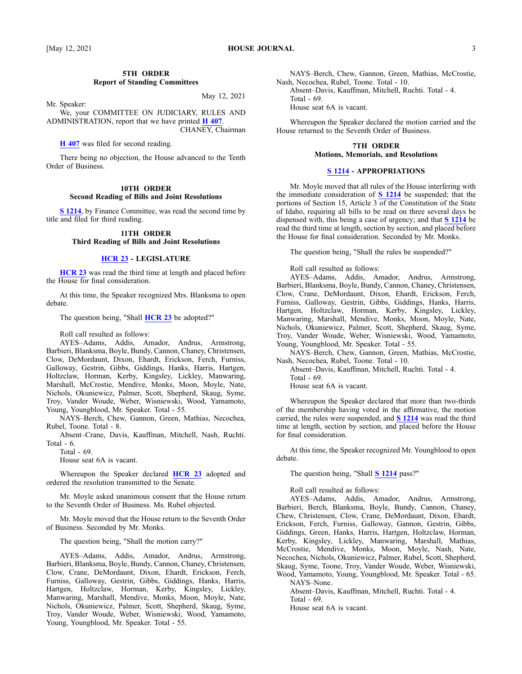#### **5TH ORDER Report of Standing Committees**

Mr. Speaker:

May 12, 2021

We, your COMMITTEE ON JUDICIARY, RULES AND ADMINISTRATION, repor<sup>t</sup> that we have printed **H [407](https://lso-legwebwp.lso.local/sessioninfo/2021/legislation/H0407)**. CHANEY, Chairman

**H [407](https://lso-legwebwp.lso.local/sessioninfo/2021/legislation/H0407)** was filed for second reading.

There being no objection, the House advanced to the Tenth Order of Business.

#### **10TH ORDER Second Reading of Bills and Joint Resolutions**

**S [1214](https://lso-legwebwp.lso.local/sessioninfo/2021/legislation/S1214)**, by Finance Committee, was read the second time by title and filed for third reading.

### **11TH ORDER**

#### **Third Reading of Bills and Joint Resolutions**

#### **[HCR](https://lso-legwebwp.lso.local/sessioninfo/2021/legislation/HCR023) 23 - LEGISLATURE**

**[HCR](https://lso-legwebwp.lso.local/sessioninfo/2021/legislation/HCR023) 23** was read the third time at length and placed before the House for final consideration.

At this time, the Speaker recognized Mrs. Blanksma to open debate.

The question being, "Shall **[HCR](https://lso-legwebwp.lso.local/sessioninfo/2021/legislation/HCR023) 23** be adopted?"

Roll call resulted as follows:

AYES–Adams, Addis, Amador, Andrus, Armstrong, Barbieri, Blanksma, Boyle, Bundy, Cannon, Chaney, Christensen, Clow, DeMordaunt, Dixon, Ehardt, Erickson, Ferch, Furniss, Galloway, Gestrin, Gibbs, Giddings, Hanks, Harris, Hartgen, Holtzclaw, Horman, Kerby, Kingsley, Lickley, Manwaring, Marshall, McCrostie, Mendive, Monks, Moon, Moyle, Nate, Nichols, Okuniewicz, Palmer, Scott, Shepherd, Skaug, Syme, Troy, Vander Woude, Weber, Wisniewski, Wood, Yamamoto, Young, Youngblood, Mr. Speaker. Total - 55.

NAYS–Berch, Chew, Gannon, Green, Mathias, Necochea, Rubel, Toone. Total - 8.

Absent–Crane, Davis, Kauffman, Mitchell, Nash, Ruchti. Total - 6.

Total - 69. House seat 6A is vacant.

Whereupon the Speaker declared **[HCR](https://lso-legwebwp.lso.local/sessioninfo/2021/legislation/HCR023) 23** adopted and ordered the resolution transmitted to the Senate.

Mr. Moyle asked unanimous consent that the House return to the Seventh Order of Business. Ms. Rubel objected.

Mr. Moyle moved that the House return to the Seventh Order of Business. Seconded by Mr. Monks.

The question being, "Shall the motion carry?"

AYES–Adams, Addis, Amador, Andrus, Armstrong, Barbieri, Blanksma, Boyle, Bundy, Cannon, Chaney, Christensen, Clow, Crane, DeMordaunt, Dixon, Ehardt, Erickson, Ferch, Furniss, Galloway, Gestrin, Gibbs, Giddings, Hanks, Harris, Hartgen, Holtzclaw, Horman, Kerby, Kingsley, Lickley, Manwaring, Marshall, Mendive, Monks, Moon, Moyle, Nate, Nichols, Okuniewicz, Palmer, Scott, Shepherd, Skaug, Syme, Troy, Vander Woude, Weber, Wisniewski, Wood, Yamamoto, Young, Youngblood, Mr. Speaker. Total - 55.

NAYS–Berch, Chew, Gannon, Green, Mathias, McCrostie, Nash, Necochea, Rubel, Toone. Total - 10.

Absent–Davis, Kauffman, Mitchell, Ruchti. Total - 4. Total - 69.

House seat 6A is vacant.

Whereupon the Speaker declared the motion carried and the House returned to the Seventh Order of Business.

### **7TH ORDER Motions, Memorials, and Resolutions**

#### **S [1214](https://lso-legwebwp.lso.local/sessioninfo/2021/legislation/S1214) - APPROPRIATIONS**

Mr. Moyle moved that all rules of the House interfering with the immediate consideration of **S [1214](https://lso-legwebwp.lso.local/sessioninfo/2021/legislation/S1214)** be suspended; that the portions of Section 15, Article  $3\overline{of}$  the Constitution of the State of Idaho, requiring all bills to be read on three several days be dispensed with, this being <sup>a</sup> case of urgency; and that **S [1214](https://lso-legwebwp.lso.local/sessioninfo/2021/legislation/S1214)** be read the third time at length, section by section, and placed before the House for final consideration. Seconded by Mr. Monks.

The question being, "Shall the rules be suspended?"

Roll call resulted as follows:

AYES–Adams, Addis, Amador, Andrus, Armstrong, Barbieri, Blanksma, Boyle, Bundy, Cannon, Chaney, Christensen, Clow, Crane, DeMordaunt, Dixon, Ehardt, Erickson, Ferch, Furniss, Galloway, Gestrin, Gibbs, Giddings, Hanks, Harris, Hartgen, Holtzclaw, Horman, Kerby, Kingsley, Lickley, Manwaring, Marshall, Mendive, Monks, Moon, Moyle, Nate, Nichols, Okuniewicz, Palmer, Scott, Shepherd, Skaug, Syme, Troy, Vander Woude, Weber, Wisniewski, Wood, Yamamoto, Young, Youngblood, Mr. Speaker. Total - 55.

NAYS–Berch, Chew, Gannon, Green, Mathias, McCrostie, Nash, Necochea, Rubel, Toone. Total - 10.

Absent–Davis, Kauffman, Mitchell, Ruchti. Total - 4. Total - 69.

House seat 6A is vacant.

Whereupon the Speaker declared that more than two-thirds of the membership having voted in the affirmative, the motion carried, the rules were suspended, and **S [1214](https://lso-legwebwp.lso.local/sessioninfo/2021/legislation/S1214)** was read the third time at length, section by section, and placed before the House for final consideration.

At this time, the Speaker recognized Mr. Youngblood to open debate.

The question being, "Shall **S [1214](https://lso-legwebwp.lso.local/sessioninfo/2021/legislation/S1214)** pass?"

Roll call resulted as follows:

AYES–Adams, Addis, Amador, Andrus, Armstrong, Barbieri, Berch, Blanksma, Boyle, Bundy, Cannon, Chaney, Chew, Christensen, Clow, Crane, DeMordaunt, Dixon, Ehardt, Erickson, Ferch, Furniss, Galloway, Gannon, Gestrin, Gibbs, Giddings, Green, Hanks, Harris, Hartgen, Holtzclaw, Horman, Kerby, Kingsley, Lickley, Manwaring, Marshall, Mathias, McCrostie, Mendive, Monks, Moon, Moyle, Nash, Nate, Necochea, Nichols, Okuniewicz, Palmer, Rubel, Scott, Shepherd, Skaug, Syme, Toone, Troy, Vander Woude, Weber, Wisniewski, Wood, Yamamoto, Young, Youngblood, Mr. Speaker. Total - 65. NAYS–None.

Absent–Davis, Kauffman, Mitchell, Ruchti. Total - 4. Total - 69.

House seat 6A is vacant.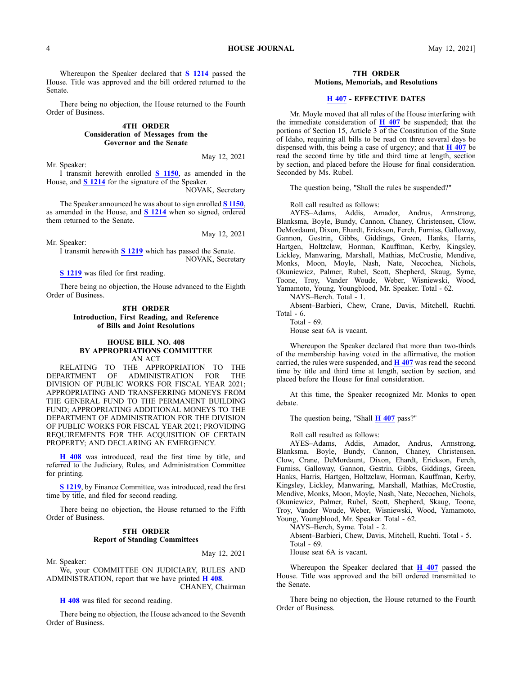Whereupon the Speaker declared that **S [1214](https://lso-legwebwp.lso.local/sessioninfo/2021/legislation/S1214)** passed the House. Title was approved and the bill ordered returned to the Senate.

There being no objection, the House returned to the Fourth Order of Business.

# **4TH ORDER Consideration of Messages from the Governor and the Senate**

Mr. Speaker:

May 12, 2021

I transmit herewith enrolled **S [1150](https://lso-legwebwp.lso.local/sessioninfo/2021/legislation/S1150)**, as amended in the House, and **S [1214](https://lso-legwebwp.lso.local/sessioninfo/2021/legislation/S1214)** for the signature of the Speaker.

NOVAK, Secretary

The Speaker announced he was about to sign enrolled **S [1150](https://lso-legwebwp.lso.local/sessioninfo/2021/legislation/S1150)**, as amended in the House, and **S [1214](https://lso-legwebwp.lso.local/sessioninfo/2021/legislation/S1214)** when so signed, ordered them returned to the Senate.

Mr. Speaker:

May 12, 2021

I transmit herewith **S [1219](https://lso-legwebwp.lso.local/sessioninfo/2021/legislation/S1219)** which has passed the Senate. NOVAK, Secretary

**S [1219](https://lso-legwebwp.lso.local/sessioninfo/2021/legislation/S1219)** was filed for first reading.

There being no objection, the House advanced to the Eighth Order of Business.

> **8TH ORDER Introduction, First Reading, and Reference of Bills and Joint Resolutions**

# **HOUSE BILL NO. 408 BY APPROPRIATIONS COMMITTEE** AN ACT

RELATING TO THE APPROPRIATION TO THE DEPARTMENT OF ADMINISTRATION FOR THE DIVISION OF PUBLIC WORKS FOR FISCAL YEAR 2021; APPROPRIATING AND TRANSFERRING MONEYS FROM THE GENERAL FUND TO THE PERMANENT BUILDING FUND; APPROPRIATING ADDITIONAL MONEYS TO THE DEPARTMENT OF ADMINISTRATION FOR THE DIVISION OF PUBLIC WORKS FOR FISCAL YEAR 2021; PROVIDING REQUIREMENTS FOR THE ACQUISITION OF CERTAIN PROPERTY; AND DECLARING AN EMERGENCY.

**H [408](https://lso-legwebwp.lso.local/sessioninfo/2021/legislation/H0408)** was introduced, read the first time by title, and referred to the Judiciary, Rules, and Administration Committee for printing.

**S [1219](https://lso-legwebwp.lso.local/sessioninfo/2021/legislation/S1219)**, by Finance Committee, was introduced, read the first time by title, and filed for second reading.

There being no objection, the House returned to the Fifth Order of Business.

# **5TH ORDER Report of Standing Committees**

Mr. Speaker:

May 12, 2021

We, your COMMITTEE ON JUDICIARY, RULES AND ADMINISTRATION, repor<sup>t</sup> that we have printed **H [408](https://lso-legwebwp.lso.local/sessioninfo/2021/legislation/H0408)**.

CHANEY, Chairman

**H [408](https://lso-legwebwp.lso.local/sessioninfo/2021/legislation/H0408)** was filed for second reading.

There being no objection, the House advanced to the Seventh Order of Business.

#### **7TH ORDER Motions, Memorials, and Resolutions**

# **H [407](https://lso-legwebwp.lso.local/sessioninfo/2021/legislation/H0407) - EFFECTIVE DATES**

Mr. Moyle moved that all rules of the House interfering with the immediate consideration of **H [407](https://lso-legwebwp.lso.local/sessioninfo/2021/legislation/H0407)** be suspended; that the portions of Section 15, Article  $3\overline{of}$  the Constitution of the State of Idaho, requiring all bills to be read on three several days be dispensed with, this being <sup>a</sup> case of urgency; and that **H [407](https://lso-legwebwp.lso.local/sessioninfo/2021/legislation/H0407)** be read the second time by title and third time at length, section by section, and placed before the House for final consideration. Seconded by Ms. Rubel.

The question being, "Shall the rules be suspended?"

Roll call resulted as follows:

AYES–Adams, Addis, Amador, Andrus, Armstrong, Blanksma, Boyle, Bundy, Cannon, Chaney, Christensen, Clow, DeMordaunt, Dixon, Ehardt, Erickson, Ferch, Furniss, Galloway, Gannon, Gestrin, Gibbs, Giddings, Green, Hanks, Harris, Hartgen, Holtzclaw, Horman, Kauffman, Kerby, Kingsley, Lickley, Manwaring, Marshall, Mathias, McCrostie, Mendive, Monks, Moon, Moyle, Nash, Nate, Necochea, Nichols, Okuniewicz, Palmer, Rubel, Scott, Shepherd, Skaug, Syme, Toone, Troy, Vander Woude, Weber, Wisniewski, Wood, Yamamoto, Young, Youngblood, Mr. Speaker. Total - 62.

NAYS–Berch. Total - 1.

Absent–Barbieri, Chew, Crane, Davis, Mitchell, Ruchti.

Total - 6.

Total - 69. House seat 6A is vacant.

Whereupon the Speaker declared that more than two-thirds of the membership having voted in the affirmative, the motion carried, the rules were suspended, and **H [407](https://lso-legwebwp.lso.local/sessioninfo/2021/legislation/H0407)** was read the second time by title and third time at length, section by section, and placed before the House for final consideration.

At this time, the Speaker recognized Mr. Monks to open debate.

The question being, "Shall **H [407](https://lso-legwebwp.lso.local/sessioninfo/2021/legislation/H0407)** pass?"

Roll call resulted as follows:

AYES–Adams, Addis, Amador, Andrus, Armstrong, Blanksma, Boyle, Bundy, Cannon, Chaney, Christensen, Clow, Crane, DeMordaunt, Dixon, Ehardt, Erickson, Ferch, Furniss, Galloway, Gannon, Gestrin, Gibbs, Giddings, Green, Hanks, Harris, Hartgen, Holtzclaw, Horman, Kauffman, Kerby, Kingsley, Lickley, Manwaring, Marshall, Mathias, McCrostie, Mendive, Monks, Moon, Moyle, Nash, Nate, Necochea, Nichols, Okuniewicz, Palmer, Rubel, Scott, Shepherd, Skaug, Toone, Troy, Vander Woude, Weber, Wisniewski, Wood, Yamamoto, Young, Youngblood, Mr. Speaker. Total - 62.

NAYS–Berch, Syme. Total - 2.

Absent–Barbieri, Chew, Davis, Mitchell, Ruchti. Total - 5. Total - 69.

House seat 6A is vacant.

Whereupon the Speaker declared that **H [407](https://lso-legwebwp.lso.local/sessioninfo/2021/legislation/H0407)** passed the House. Title was approved and the bill ordered transmitted to the Senate.

There being no objection, the House returned to the Fourth Order of Business.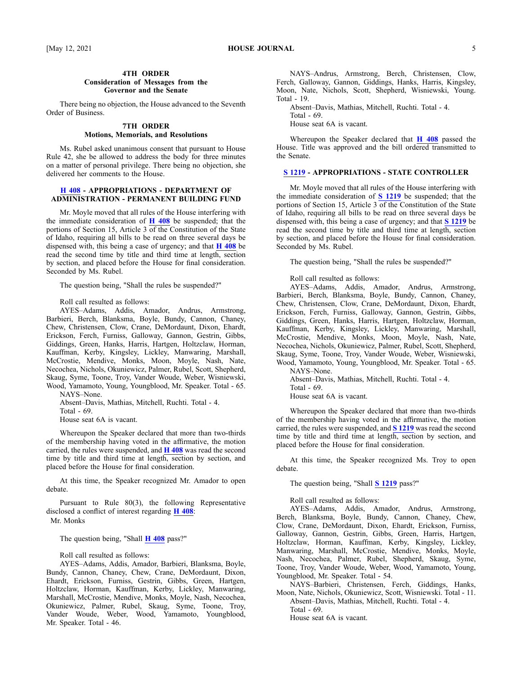#### **4TH ORDER Consideration of Messages from the Governor and the Senate**

There being no objection, the House advanced to the Seventh Order of Business.

# **7TH ORDER Motions, Memorials, and Resolutions**

Ms. Rubel asked unanimous consent that pursuan<sup>t</sup> to House Rule 42, she be allowed to address the body for three minutes on <sup>a</sup> matter of personal privilege. There being no objection, she delivered her comments to the House.

#### **H [408](https://lso-legwebwp.lso.local/sessioninfo/2021/legislation/H0408) - APPROPRIATIONS - DEPARTMENT OF ADMINISTRATION - PERMANENT BUILDING FUND**

Mr. Moyle moved that all rules of the House interfering with the immediate consideration of **H [408](https://lso-legwebwp.lso.local/sessioninfo/2021/legislation/H0408)** be suspended; that the portions of Section 15, Article  $3\overline{of}$  the Constitution of the State of Idaho, requiring all bills to be read on three several days be dispensed with, this being <sup>a</sup> case of urgency; and that **H [408](https://lso-legwebwp.lso.local/sessioninfo/2021/legislation/H0408)** be read the second time by title and third time at length, section by section, and placed before the House for final consideration. Seconded by Ms. Rubel.

The question being, "Shall the rules be suspended?"

Roll call resulted as follows:

AYES–Adams, Addis, Amador, Andrus, Armstrong, Barbieri, Berch, Blanksma, Boyle, Bundy, Cannon, Chaney, Chew, Christensen, Clow, Crane, DeMordaunt, Dixon, Ehardt, Erickson, Ferch, Furniss, Galloway, Gannon, Gestrin, Gibbs, Giddings, Green, Hanks, Harris, Hartgen, Holtzclaw, Horman, Kauffman, Kerby, Kingsley, Lickley, Manwaring, Marshall, McCrostie, Mendive, Monks, Moon, Moyle, Nash, Nate, Necochea, Nichols, Okuniewicz, Palmer, Rubel, Scott, Shepherd, Skaug, Syme, Toone, Troy, Vander Woude, Weber, Wisniewski, Wood, Yamamoto, Young, Youngblood, Mr. Speaker. Total - 65.

NAYS–None.

Absent–Davis, Mathias, Mitchell, Ruchti. Total - 4. Total - 69.

House seat 6A is vacant.

Whereupon the Speaker declared that more than two-thirds of the membership having voted in the affirmative, the motion carried, the rules were suspended, and **H [408](https://lso-legwebwp.lso.local/sessioninfo/2021/legislation/H0408)** was read the second time by title and third time at length, section by section, and placed before the House for final consideration.

At this time, the Speaker recognized Mr. Amador to open debate.

Pursuant to Rule 80(3), the following Representative disclosed <sup>a</sup> conflict of interest regarding **H [408](https://lso-legwebwp.lso.local/sessioninfo/2021/legislation/H0408)**: Mr. Monks

The question being, "Shall **H [408](https://lso-legwebwp.lso.local/sessioninfo/2021/legislation/H0408)** pass?"

Roll call resulted as follows:

AYES–Adams, Addis, Amador, Barbieri, Blanksma, Boyle, Bundy, Cannon, Chaney, Chew, Crane, DeMordaunt, Dixon, Ehardt, Erickson, Furniss, Gestrin, Gibbs, Green, Hartgen, Holtzclaw, Horman, Kauffman, Kerby, Lickley, Manwaring, Marshall, McCrostie, Mendive, Monks, Moyle, Nash, Necochea, Okuniewicz, Palmer, Rubel, Skaug, Syme, Toone, Troy, Vander Woude, Weber, Wood, Yamamoto, Youngblood, Mr. Speaker. Total - 46.

NAYS–Andrus, Armstrong, Berch, Christensen, Clow, Ferch, Galloway, Gannon, Giddings, Hanks, Harris, Kingsley, Moon, Nate, Nichols, Scott, Shepherd, Wisniewski, Young. Total - 19.

Absent–Davis, Mathias, Mitchell, Ruchti. Total - 4. Total - 69.

House seat 6A is vacant.

Whereupon the Speaker declared that **H [408](https://lso-legwebwp.lso.local/sessioninfo/2021/legislation/H0408)** passed the House. Title was approved and the bill ordered transmitted to the Senate.

# **S [1219](https://lso-legwebwp.lso.local/sessioninfo/2021/legislation/S1219) - APPROPRIATIONS - STATE CONTROLLER**

Mr. Moyle moved that all rules of the House interfering with the immediate consideration of **S [1219](https://lso-legwebwp.lso.local/sessioninfo/2021/legislation/S1219)** be suspended; that the portions of Section 15, Article 3 of the Constitution of the State of Idaho, requiring all bills to be read on three several days be dispensed with, this being <sup>a</sup> case of urgency; and that **S [1219](https://lso-legwebwp.lso.local/sessioninfo/2021/legislation/S1219)** be read the second time by title and third time at length, section by section, and placed before the House for final consideration. Seconded by Ms. Rubel.

The question being, "Shall the rules be suspended?"

Roll call resulted as follows:

AYES–Adams, Addis, Amador, Andrus, Armstrong, Barbieri, Berch, Blanksma, Boyle, Bundy, Cannon, Chaney, Chew, Christensen, Clow, Crane, DeMordaunt, Dixon, Ehardt, Erickson, Ferch, Furniss, Galloway, Gannon, Gestrin, Gibbs, Giddings, Green, Hanks, Harris, Hartgen, Holtzclaw, Horman, Kauffman, Kerby, Kingsley, Lickley, Manwaring, Marshall, McCrostie, Mendive, Monks, Moon, Moyle, Nash, Nate, Necochea, Nichols, Okuniewicz, Palmer, Rubel, Scott, Shepherd, Skaug, Syme, Toone, Troy, Vander Woude, Weber, Wisniewski, Wood, Yamamoto, Young, Youngblood, Mr. Speaker. Total - 65.

NAYS–None.

Absent–Davis, Mathias, Mitchell, Ruchti. Total - 4. Total - 69.

House seat 6A is vacant.

Whereupon the Speaker declared that more than two-thirds of the membership having voted in the affirmative, the motion carried, the rules were suspended, and **S [1219](https://lso-legwebwp.lso.local/sessioninfo/2021/legislation/S1219)** was read the second time by title and third time at length, section by section, and placed before the House for final consideration.

At this time, the Speaker recognized Ms. Troy to open debate.

The question being, "Shall **S [1219](https://lso-legwebwp.lso.local/sessioninfo/2021/legislation/S1219)** pass?"

Roll call resulted as follows:

AYES–Adams, Addis, Amador, Andrus, Armstrong, Berch, Blanksma, Boyle, Bundy, Cannon, Chaney, Chew, Clow, Crane, DeMordaunt, Dixon, Ehardt, Erickson, Furniss, Galloway, Gannon, Gestrin, Gibbs, Green, Harris, Hartgen, Holtzclaw, Horman, Kauffman, Kerby, Kingsley, Lickley, Manwaring, Marshall, McCrostie, Mendive, Monks, Moyle, Nash, Necochea, Palmer, Rubel, Shepherd, Skaug, Syme, Toone, Troy, Vander Woude, Weber, Wood, Yamamoto, Young, Youngblood, Mr. Speaker. Total - 54.

NAYS–Barbieri, Christensen, Ferch, Giddings, Hanks, Moon, Nate, Nichols, Okuniewicz, Scott, Wisniewski. Total - 11.

Absent–Davis, Mathias, Mitchell, Ruchti. Total - 4.

Total - 69.

House seat 6A is vacant.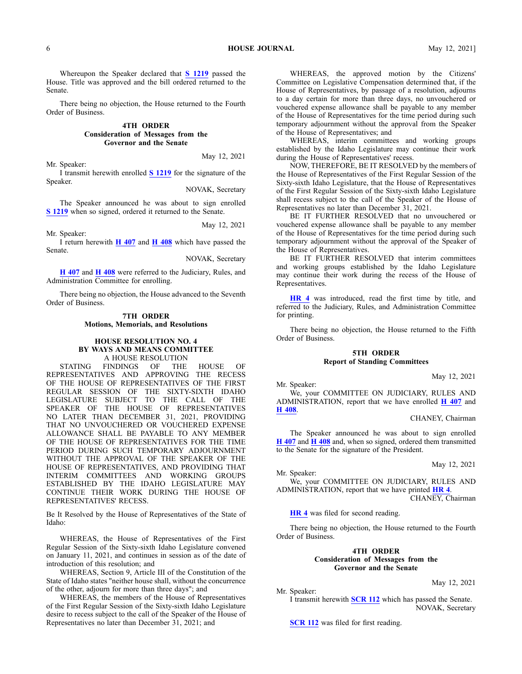Whereupon the Speaker declared that **S [1219](https://lso-legwebwp.lso.local/sessioninfo/2021/legislation/S1219)** passed the House. Title was approved and the bill ordered returned to the Senate.

There being no objection, the House returned to the Fourth Order of Business.

# **4TH ORDER Consideration of Messages from the Governor and the Senate**

Mr. Speaker:

May 12, 2021

I transmit herewith enrolled **S [1219](https://lso-legwebwp.lso.local/sessioninfo/2021/legislation/S1219)** for the signature of the Speaker.

NOVAK, Secretary

The Speaker announced he was about to sign enrolled **S [1219](https://lso-legwebwp.lso.local/sessioninfo/2021/legislation/S1219)** when so signed, ordered it returned to the Senate.

May 12, 2021 Mr. Speaker:

I return herewith **H [407](https://lso-legwebwp.lso.local/sessioninfo/2021/legislation/H0407)** and **H [408](https://lso-legwebwp.lso.local/sessioninfo/2021/legislation/H0408)** which have passed the Senate.

NOVAK, Secretary

**H [407](https://lso-legwebwp.lso.local/sessioninfo/2021/legislation/H0407)** and **H [408](https://lso-legwebwp.lso.local/sessioninfo/2021/legislation/H0408)** were referred to the Judiciary, Rules, and Administration Committee for enrolling.

There being no objection, the House advanced to the Seventh Order of Business.

#### **7TH ORDER Motions, Memorials, and Resolutions**

#### **HOUSE RESOLUTION NO. 4 BY WAYS AND MEANS COMMITTEE** A HOUSE RESOLUTION

STATING FINDINGS OF THE HOUSE OF REPRESENTATIVES AND APPROVING THE RECESS OF THE HOUSE OF REPRESENTATIVES OF THE FIRST REGULAR SESSION OF THE SIXTY-SIXTH IDAHO LEGISLATURE SUBJECT TO THE CALL OF THE SPEAKER OF THE HOUSE OF REPRESENTATIVES NO LATER THAN DECEMBER 31, 2021, PROVIDING THAT NO UNVOUCHERED OR VOUCHERED EXPENSE ALLOWANCE SHALL BE PAYABLE TO ANY MEMBER OF THE HOUSE OF REPRESENTATIVES FOR THE TIME PERIOD DURING SUCH TEMPORARY ADJOURNMENT WITHOUT THE APPROVAL OF THE SPEAKER OF THE HOUSE OF REPRESENTATIVES, AND PROVIDING THAT INTERIM COMMITTEES AND WORKING GROUPS ESTABLISHED BY THE IDAHO LEGISLATURE MAY CONTINUE THEIR WORK DURING THE HOUSE OF REPRESENTATIVES' RECESS.

Be It Resolved by the House of Representatives of the State of Idaho:

WHEREAS, the House of Representatives of the First Regular Session of the Sixty-sixth Idaho Legislature convened on January 11, 2021, and continues in session as of the date of introduction of this resolution; and

WHEREAS, Section 9, Article III of the Constitution of the State of Idaho states "neither house shall, without the concurrence of the other, adjourn for more than three days"; and

WHEREAS, the members of the House of Representatives of the First Regular Session of the Sixty-sixth Idaho Legislature desire to recess subject to the call of the Speaker of the House of Representatives no later than December 31, 2021; and

WHEREAS, the approved motion by the Citizens' Committee on Legislative Compensation determined that, if the House of Representatives, by passage of <sup>a</sup> resolution, adjourns to <sup>a</sup> day certain for more than three days, no unvouchered or vouchered expense allowance shall be payable to any member of the House of Representatives for the time period during such temporary adjournment without the approval from the Speaker of the House of Representatives; and

WHEREAS, interim committees and working groups established by the Idaho Legislature may continue their work during the House of Representatives' recess.

NOW, THEREFORE, BE IT RESOLVED by the members of the House of Representatives of the First Regular Session of the Sixty-sixth Idaho Legislature, that the House of Representatives of the First Regular Session of the Sixty-sixth Idaho Legislature shall recess subject to the call of the Speaker of the House of Representatives no later than December 31, 2021.

BE IT FURTHER RESOLVED that no unvouchered or vouchered expense allowance shall be payable to any member of the House of Representatives for the time period during such temporary adjournment without the approval of the Speaker of the House of Representatives.

BE IT FURTHER RESOLVED that interim committees and working groups established by the Idaho Legislature may continue their work during the recess of the House of Representatives.

**[HR](https://lso-legwebwp.lso.local/sessioninfo/2021/legislation/HR004) 4** was introduced, read the first time by title, and referred to the Judiciary, Rules, and Administration Committee for printing.

There being no objection, the House returned to the Fifth Order of Business.

# **5TH ORDER Report of Standing Committees**

May 12, 2021

Mr. Speaker: We, your COMMITTEE ON JUDICIARY, RULES AND ADMINISTRATION, repor<sup>t</sup> that we have enrolled **H [407](https://lso-legwebwp.lso.local/sessioninfo/2021/legislation/H0407)** and **H [408](https://lso-legwebwp.lso.local/sessioninfo/2021/legislation/H0408)**.

CHANEY, Chairman

The Speaker announced he was about to sign enrolled **H [407](https://lso-legwebwp.lso.local/sessioninfo/2021/legislation/H0407)** and **H [408](https://lso-legwebwp.lso.local/sessioninfo/2021/legislation/H0408)** and, when so signed, ordered them transmitted to the Senate for the signature of the President.

May 12, 2021

Mr. Speaker: We, your COMMITTEE ON JUDICIARY, RULES AND ADMINISTRATION, repor<sup>t</sup> that we have printed **[HR](https://lso-legwebwp.lso.local/sessioninfo/2021/legislation/HR004) 4**.

CHANEY, Chairman

**[HR](https://lso-legwebwp.lso.local/sessioninfo/2021/legislation/HR004) 4** was filed for second reading.

There being no objection, the House returned to the Fourth Order of Business.

# **4TH ORDER Consideration of Messages from the Governor and the Senate**

May 12, 2021

Mr. Speaker: I transmit herewith **[SCR](https://lso-legwebwp.lso.local/sessioninfo/2021/legislation/SCR112) 112** which has passed the Senate. NOVAK, Secretary

**[SCR](https://lso-legwebwp.lso.local/sessioninfo/2021/legislation/SCR112) 112** was filed for first reading.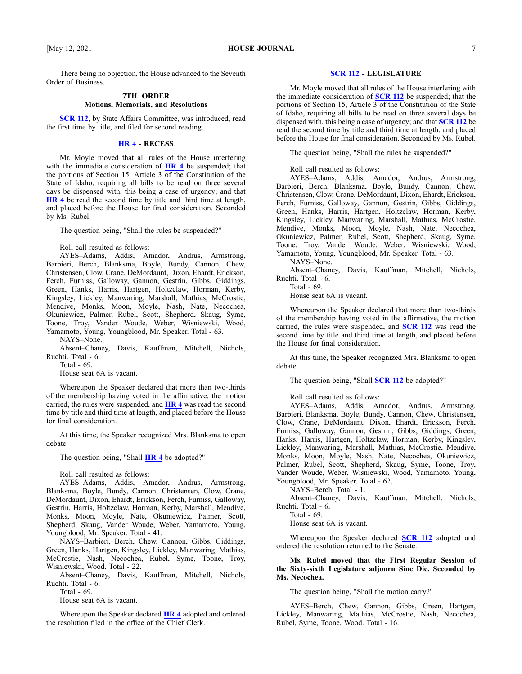There being no objection, the House advanced to the Seventh Order of Business.

## **7TH ORDER Motions, Memorials, and Resolutions**

**[SCR](https://lso-legwebwp.lso.local/sessioninfo/2021/legislation/SCR112) 112**, by State Affairs Committee, was introduced, read the first time by title, and filed for second reading.

#### **[HR](https://lso-legwebwp.lso.local/sessioninfo/2021/legislation/HR004) 4 - RECESS**

Mr. Moyle moved that all rules of the House interfering with the immediate consideration of **[HR](https://lso-legwebwp.lso.local/sessioninfo/2021/legislation/HR004) 4** be suspended; that the portions of Section 15, Article 3 of the Constitution of the State of Idaho, requiring all bills to be read on three several days be dispensed with, this being <sup>a</sup> case of urgency; and that **[HR](https://lso-legwebwp.lso.local/sessioninfo/2021/legislation/HR004) 4** be read the second time by title and third time at length, and placed before the House for final consideration. Seconded by Ms. Rubel.

The question being, "Shall the rules be suspended?"

Roll call resulted as follows:

AYES–Adams, Addis, Amador, Andrus, Armstrong, Barbieri, Berch, Blanksma, Boyle, Bundy, Cannon, Chew, Christensen, Clow, Crane, DeMordaunt, Dixon, Ehardt, Erickson, Ferch, Furniss, Galloway, Gannon, Gestrin, Gibbs, Giddings, Green, Hanks, Harris, Hartgen, Holtzclaw, Horman, Kerby, Kingsley, Lickley, Manwaring, Marshall, Mathias, McCrostie, Mendive, Monks, Moon, Moyle, Nash, Nate, Necochea, Okuniewicz, Palmer, Rubel, Scott, Shepherd, Skaug, Syme, Toone, Troy, Vander Woude, Weber, Wisniewski, Wood, Yamamoto, Young, Youngblood, Mr. Speaker. Total - 63.

NAYS–None.

Absent–Chaney, Davis, Kauffman, Mitchell, Nichols, Ruchti. Total - 6.

Total - 69.

House seat 6A is vacant.

Whereupon the Speaker declared that more than two-thirds of the membership having voted in the affirmative, the motion carried, the rules were suspended, and **[HR](https://lso-legwebwp.lso.local/sessioninfo/2021/legislation/HR004) 4** was read the second time by title and third time at length, and placed before the House for final consideration.

At this time, the Speaker recognized Mrs. Blanksma to open debate.

The question being, "Shall **[HR](https://lso-legwebwp.lso.local/sessioninfo/2021/legislation/HR004) 4** be adopted?"

Roll call resulted as follows:

AYES–Adams, Addis, Amador, Andrus, Armstrong, Blanksma, Boyle, Bundy, Cannon, Christensen, Clow, Crane, DeMordaunt, Dixon, Ehardt, Erickson, Ferch, Furniss, Galloway, Gestrin, Harris, Holtzclaw, Horman, Kerby, Marshall, Mendive, Monks, Moon, Moyle, Nate, Okuniewicz, Palmer, Scott, Shepherd, Skaug, Vander Woude, Weber, Yamamoto, Young, Youngblood, Mr. Speaker. Total - 41.

NAYS–Barbieri, Berch, Chew, Gannon, Gibbs, Giddings, Green, Hanks, Hartgen, Kingsley, Lickley, Manwaring, Mathias, McCrostie, Nash, Necochea, Rubel, Syme, Toone, Troy, Wisniewski, Wood. Total - 22.

Absent–Chaney, Davis, Kauffman, Mitchell, Nichols, Ruchti. Total - 6.

Total - 69.

House seat 6A is vacant.

Whereupon the Speaker declared **[HR](https://lso-legwebwp.lso.local/sessioninfo/2021/legislation/HR004) 4** adopted and ordered the resolution filed in the office of the Chief Clerk.

## **[SCR](https://lso-legwebwp.lso.local/sessioninfo/2021/legislation/SCR112) 112 - LEGISLATURE**

Mr. Moyle moved that all rules of the House interfering with the immediate consideration of **[SCR](https://lso-legwebwp.lso.local/sessioninfo/2021/legislation/SCR112) 112** be suspended; that the portions of Section 15, Article 3 of the Constitution of the State of Idaho, requiring all bills to be read on three several days be dispensed with, this being <sup>a</sup> case of urgency; and that **[SCR](https://lso-legwebwp.lso.local/sessioninfo/2021/legislation/SCR112) 112** be read the second time by title and third time at length, and placed before the House for final consideration. Seconded by Ms. Rubel.

The question being, "Shall the rules be suspended?"

Roll call resulted as follows:

AYES–Adams, Addis, Amador, Andrus, Armstrong, Barbieri, Berch, Blanksma, Boyle, Bundy, Cannon, Chew, Christensen, Clow, Crane, DeMordaunt, Dixon, Ehardt, Erickson, Ferch, Furniss, Galloway, Gannon, Gestrin, Gibbs, Giddings, Green, Hanks, Harris, Hartgen, Holtzclaw, Horman, Kerby, Kingsley, Lickley, Manwaring, Marshall, Mathias, McCrostie, Mendive, Monks, Moon, Moyle, Nash, Nate, Necochea, Okuniewicz, Palmer, Rubel, Scott, Shepherd, Skaug, Syme, Toone, Troy, Vander Woude, Weber, Wisniewski, Wood, Yamamoto, Young, Youngblood, Mr. Speaker. Total - 63.

NAYS–None.

Absent–Chaney, Davis, Kauffman, Mitchell, Nichols, Ruchti. Total - 6.

Total - 69.

House seat 6A is vacant.

Whereupon the Speaker declared that more than two-thirds of the membership having voted in the affirmative, the motion carried, the rules were suspended, and **[SCR](https://lso-legwebwp.lso.local/sessioninfo/2021/legislation/SCR112) 112** was read the second time by title and third time at length, and placed before the House for final consideration.

At this time, the Speaker recognized Mrs. Blanksma to open debate.

The question being, "Shall **[SCR](https://lso-legwebwp.lso.local/sessioninfo/2021/legislation/SCR112) 112** be adopted?"

Roll call resulted as follows:

AYES–Adams, Addis, Amador, Andrus, Armstrong, Barbieri, Blanksma, Boyle, Bundy, Cannon, Chew, Christensen, Clow, Crane, DeMordaunt, Dixon, Ehardt, Erickson, Ferch, Furniss, Galloway, Gannon, Gestrin, Gibbs, Giddings, Green, Hanks, Harris, Hartgen, Holtzclaw, Horman, Kerby, Kingsley, Lickley, Manwaring, Marshall, Mathias, McCrostie, Mendive, Monks, Moon, Moyle, Nash, Nate, Necochea, Okuniewicz, Palmer, Rubel, Scott, Shepherd, Skaug, Syme, Toone, Troy, Vander Woude, Weber, Wisniewski, Wood, Yamamoto, Young, Youngblood, Mr. Speaker. Total - 62.

NAYS–Berch. Total - 1.

Absent–Chaney, Davis, Kauffman, Mitchell, Nichols, Ruchti. Total - 6.

Total - 69.

House seat 6A is vacant.

Whereupon the Speaker declared **[SCR](https://lso-legwebwp.lso.local/sessioninfo/2021/legislation/SCR112) 112** adopted and ordered the resolution returned to the Senate.

**Ms. Rubel moved that the First Regular Session of the Sixty-sixth Legislature adjourn Sine Die. Seconded by Ms. Necochea.**

The question being, "Shall the motion carry?"

AYES–Berch, Chew, Gannon, Gibbs, Green, Hartgen, Lickley, Manwaring, Mathias, McCrostie, Nash, Necochea, Rubel, Syme, Toone, Wood. Total - 16.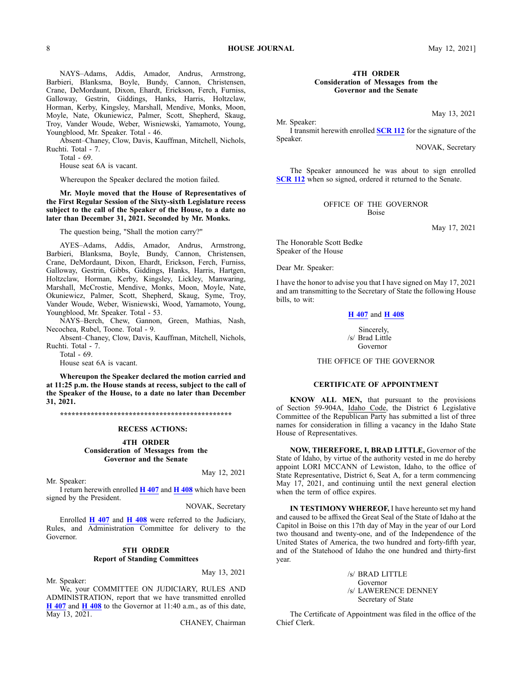NAYS–Adams, Addis, Amador, Andrus, Armstrong, Barbieri, Blanksma, Boyle, Bundy, Cannon, Christensen, Crane, DeMordaunt, Dixon, Ehardt, Erickson, Ferch, Furniss, Galloway, Gestrin, Giddings, Hanks, Harris, Holtzclaw, Horman, Kerby, Kingsley, Marshall, Mendive, Monks, Moon, Moyle, Nate, Okuniewicz, Palmer, Scott, Shepherd, Skaug, Troy, Vander Woude, Weber, Wisniewski, Yamamoto, Young, Youngblood, Mr. Speaker. Total - 46.

Absent–Chaney, Clow, Davis, Kauffman, Mitchell, Nichols, Ruchti. Total - 7.

Total - 69.

House seat 6A is vacant.

Whereupon the Speaker declared the motion failed.

**Mr. Moyle moved that the House of Representatives of the First Regular Session of the Sixty-sixth Legislature recess subject to the call of the Speaker of the House, to <sup>a</sup> date no later than December 31, 2021. Seconded by Mr. Monks.**

The question being, "Shall the motion carry?"

AYES–Adams, Addis, Amador, Andrus, Armstrong, Barbieri, Blanksma, Boyle, Bundy, Cannon, Christensen, Crane, DeMordaunt, Dixon, Ehardt, Erickson, Ferch, Furniss, Galloway, Gestrin, Gibbs, Giddings, Hanks, Harris, Hartgen, Holtzclaw, Horman, Kerby, Kingsley, Lickley, Manwaring, Marshall, McCrostie, Mendive, Monks, Moon, Moyle, Nate, Okuniewicz, Palmer, Scott, Shepherd, Skaug, Syme, Troy, Vander Woude, Weber, Wisniewski, Wood, Yamamoto, Young, Youngblood, Mr. Speaker. Total - 53.

NAYS–Berch, Chew, Gannon, Green, Mathias, Nash, Necochea, Rubel, Toone. Total - 9.

Absent–Chaney, Clow, Davis, Kauffman, Mitchell, Nichols, Ruchti. Total - 7.

Total - 69.

House seat 6A is vacant.

**Whereupon the Speaker declared the motion carried and at 11:25 p.m. the House stands at recess, subject to the call of the Speaker of the House, to <sup>a</sup> date no later than December 31, 2021.**

**\*\*\*\*\*\*\*\*\*\*\*\*\*\*\*\*\*\*\*\*\*\*\*\*\*\*\*\*\*\*\*\*\*\*\*\*\*\*\*\*\*\*\*\*\***

#### **RECESS ACTIONS:**

#### **4TH ORDER Consideration of Messages from the Governor and the Senate**

Mr. Speaker:

May 12, 2021

I return herewith enrolled **H [407](https://lso-legwebwp.lso.local/sessioninfo/2021/legislation/H0407)** and **H [408](https://lso-legwebwp.lso.local/sessioninfo/2021/legislation/H0408)** which have been signed by the President.

NOVAK, Secretary

Enrolled **H [407](https://lso-legwebwp.lso.local/sessioninfo/2021/legislation/H0407)** and **H [408](https://lso-legwebwp.lso.local/sessioninfo/2021/legislation/H0408)** were referred to the Judiciary, Rules, and Administration Committee for delivery to the Governor.

## **5TH ORDER Report of Standing Committees**

Mr. Speaker:

May 13, 2021

We, your COMMITTEE ON JUDICIARY, RULES AND ADMINISTRATION, repor<sup>t</sup> that we have transmitted enrolled **H [407](https://lso-legwebwp.lso.local/sessioninfo/2021/legislation/H0407)** and **H [408](https://lso-legwebwp.lso.local/sessioninfo/2021/legislation/H0408)** to the Governor at 11:40 a.m., as of this date, May 13, 2021.

CHANEY, Chairman

#### **4TH ORDER Consideration of Messages from the Governor and the Senate**

May 13, 2021

Mr. Speaker: I transmit herewith enrolled **[SCR](https://lso-legwebwp.lso.local/sessioninfo/2021/legislation/SCR112) 112** for the signature of the Speaker.

NOVAK, Secretary

The Speaker announced he was about to sign enrolled **[SCR](https://lso-legwebwp.lso.local/sessioninfo/2021/legislation/SCR112) 112** when so signed, ordered it returned to the Senate.

> OFFICE OF THE GOVERNOR Boise

> > May 17, 2021

The Honorable Scott Bedke Speaker of the House

Dear Mr. Speaker:

I have the honor to advise you that I have signed on May 17, 2021 and am transmitting to the Secretary of State the following House bills, to wit:

**H [407](https://lso-legwebwp.lso.local/sessioninfo/2021/legislation/H0407)** and **H [408](https://lso-legwebwp.lso.local/sessioninfo/2021/legislation/H0408)**

Sincerely, /s/ Brad Little Governor

## THE OFFICE OF THE GOVERNOR

# **CERTIFICATE OF APPOINTMENT**

**KNOW ALL MEN,** that pursuan<sup>t</sup> to the provisions of Section 59-904A, Idaho Code, the District 6 Legislative Committee of the Republican Party has submitted <sup>a</sup> list of three names for consideration in filling <sup>a</sup> vacancy in the Idaho State House of Representatives.

**NOW, THEREFORE, I, BRAD LITTLE,** Governor of the State of Idaho, by virtue of the authority vested in me do hereby appoint LORI MCCANN of Lewiston, Idaho, to the office of State Representative, District 6, Seat A, for <sup>a</sup> term commencing May 17, 2021, and continuing until the next general election when the term of office expires.

**IN TESTIMONY WHEREOF,** I have hereunto set my hand and caused to be affixed the Great Seal of the State of Idaho at the Capitol in Boise on this 17th day of May in the year of our Lord two thousand and twenty-one, and of the Independence of the United States of America, the two hundred and forty-fifth year, and of the Statehood of Idaho the one hundred and thirty-first year.

> /s/ BRAD LITTLE Governor /s/ LAWERENCE DENNEY Secretary of State

The Certificate of Appointment was filed in the office of the Chief Clerk.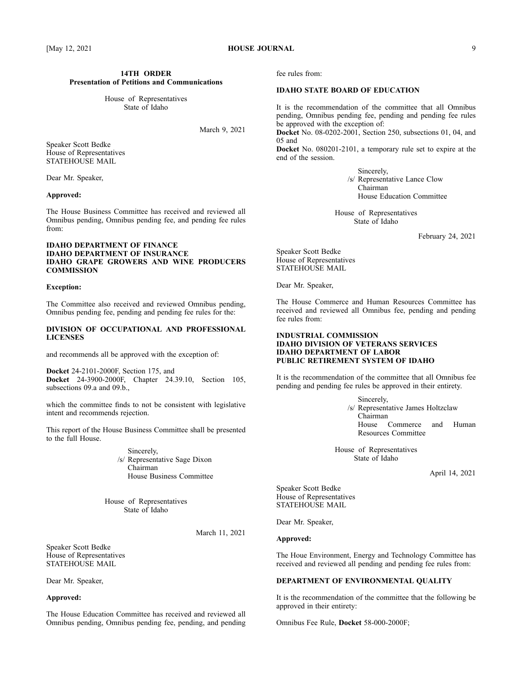House of Representatives State of Idaho

March 9, 2021

Speaker Scott Bedke House of Representatives STATEHOUSE MAIL

Dear Mr. Speaker,

# **Approved:**

The House Business Committee has received and reviewed all Omnibus pending, Omnibus pending fee, and pending fee rules from:

# **IDAHO DEPARTMENT OF FINANCE IDAHO DEPARTMENT OF INSURANCE IDAHO GRAPE GROWERS AND WINE PRODUCERS COMMISSION**

#### **Exception:**

The Committee also received and reviewed Omnibus pending, Omnibus pending fee, pending and pending fee rules for the:

## **DIVISION OF OCCUPATIONAL AND PROFESSIONAL LICENSES**

and recommends all be approved with the exception of:

**Docket** 24-2101-2000F, Section 175, and **Docket** 24-3900-2000F, Chapter 24.39.10, Section 105, subsections 09.a and 09.b.,

which the committee finds to not be consistent with legislative intent and recommends rejection.

This repor<sup>t</sup> of the House Business Committee shall be presented to the full House.

> Sincerely, /s/ Representative Sage Dixon Chairman House Business Committee

House of Representatives State of Idaho

March 11, 2021

Speaker Scott Bedke House of Representatives STATEHOUSE MAIL

Dear Mr. Speaker,

# **Approved:**

The House Education Committee has received and reviewed all Omnibus pending, Omnibus pending fee, pending, and pending fee rules from:

# **IDAHO STATE BOARD OF EDUCATION**

It is the recommendation of the committee that all Omnibus pending, Omnibus pending fee, pending and pending fee rules be approved with the exception of:

**Docket** No. 08-0202-2001, Section 250, subsections 01, 04, and 05 and

**Docket** No. 080201-2101, <sup>a</sup> temporary rule set to expire at the end of the session.

> Sincerely, /s/ Representative Lance Clow Chairman House Education Committee

House of Representatives State of Idaho

February 24, 2021

Speaker Scott Bedke House of Representatives STATEHOUSE MAIL

Dear Mr. Speaker,

The House Commerce and Human Resources Committee has received and reviewed all Omnibus fee, pending and pending fee rules from:

# **INDUSTRIAL COMMISSION IDAHO DIVISION OF VETERANS SERVICES IDAHO DEPARTMENT OF LABOR PUBLIC RETIREMENT SYSTEM OF IDAHO**

It is the recommendation of the committee that all Omnibus fee pending and pending fee rules be approved in their entirety.

> Sincerely, /s/ Representative James Holtzclaw Chairman House Commerce and Human Resources Committee

House of Representatives State of Idaho

April 14, 2021

Speaker Scott Bedke House of Representatives STATEHOUSE MAIL

Dear Mr. Speaker,

### **Approved:**

The Houe Environment, Energy and Technology Committee has received and reviewed all pending and pending fee rules from:

# **DEPARTMENT OF ENVIRONMENTAL QUALITY**

It is the recommendation of the committee that the following be approved in their entirety:

Omnibus Fee Rule, **Docket** 58-000-2000F;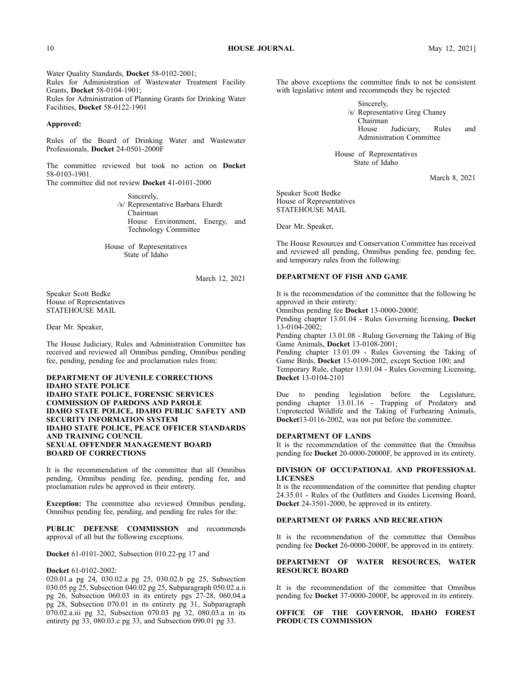Water Quality Standards, **Docket** 58-0102-2001; Rules for Administration of Wastewater Treatment Facility Grants, **Docket** 58-0104-1901; Rules for Administration of Planning Grants for Drinking Water Facilities, **Docket** 58-0122-1901

#### **Approved:**

Rules of the Board of Drinking Water and Wastewater Professionals, **Docket** 24-0501-2000F

The committee reviewed but took no action on **Docket** 58-0103-1901.

The committee did not review **Docket** 41-0101-2000

**Sincerely** /s/ Representative Barbara Ehardt Chairman House Environment, Energy, and Technology Committee

House of Representatives State of Idaho

March 12, 2021

Speaker Scott Bedke House of Representatives STATEHOUSE MAIL

Dear Mr. Speaker,

The House Judiciary, Rules and Administration Committee has received and reviewed all Omnibus pending, Omnibus pending fee, pending, pending fee and proclamation rules from:

# **DEPARTMENT OF JUVENILE CORRECTIONS IDAHO STATE POLICE IDAHO STATE POLICE, FORENSIC SERVICES COMMISSION OF PARDONS AND PAROLE IDAHO STATE POLICE, IDAHO PUBLIC SAFETY AND SECURITY INFORMATION SYSTEM IDAHO STATE POLICE, PEACE OFFICER STANDARDS AND TRAINING COUNCIL SEXUAL OFFENDER MANAGEMENT BOARD BOARD OF CORRECTIONS**

It is the recommendation of the committee that all Omnibus pending, Omnibus pending fee, pending, pending fee, and proclamation rules be approved in their entirety.

**Exception:** The committee also reviewed Omnibus pending, Omnibus pending fee, pending, and pending fee rules for the:

**PUBLIC DEFENSE COMMISSION** and recommends approval of all but the following exceptions.

**Docket** 61-0101-2002, Subsection 010.22-pg 17 and

### **Docket** 61-0102-2002:

020.01.a pg 24, 030.02.a pg 25, 030.02.b pg 25, Subsection 030.05 pg 25, Subsection 040.02 pg 25, Subparagraph 050.02.a.ii pg 26, Subsection 060.03 in its entirety pgs 27-28, 060.04.a pg 28, Subsection 070.01 in its entirety pg 31, Subparagraph 070.02.a.iii pg 32, Subsection 070.03 pg 32, 080.03.a in its entirety pg 33, 080.03.c pg 33, and Subsection 090.01 pg 33.

The above exceptions the committee finds to not be consistent with legislative intent and recommends they be rejected

> Sincerely, /s/ Representative Greg Chaney Chairman House Judiciary, Rules and Administration Committee

House of Representatives State of Idaho

March 8, 2021

Speaker Scott Bedke House of Representatives STATEHOUSE MAIL

Dear Mr. Speaker,

The House Resources and Conservation Committee has received and reviewed all pending, Omnibus pending fee, pending fee, and temporary rules from the following:

# **DEPARTMENT OF FISH AND GAME**

It is the recommendation of the committee that the following be approved in their entirety:

Omnibus pending fee **Docket** 13-0000-2000f;

Pending chapter 13.01.04 - Rules Governing licensing, **Docket** 13-0104-2002;

Pending chapter 13.01.08 - Ruling Governing the Taking of Big Game Animals, **Docket** 13-0108-2001;

Pending chapter 13.01.09 - Rules Governing the Taking of Game Birds, **Docket** 13-0109-2002, excep<sup>t</sup> Section 100; and Temporary Rule, chapter 13.01.04 - Rules Governing Licensing, **Docket** 13-0104-2101

Due to pending legislation before the Legislature, pending chapter 13.01.16 - Trapping of Predatory and Unprotected Wildlife and the Taking of Furbearing Animals, **Docket**13-0116-2002, was not pu<sup>t</sup> before the committee.

# **DEPARTMENT OF LANDS**

It is the recommendation of the committee that the Omnibus pending fee **Docket** 20-0000-20000F, be approved in its entirety.

# **DIVISION OF OCCUPATIONAL AND PROFESSIONAL LICENSES**

It is the recommendation of the committee that pending chapter 24.35.01 - Rules of the Outfitters and Guides Licensing Board, **Docket** 24-3501-2000, be approved in its entirety.

## **DEPARTMENT OF PARKS AND RECREATION**

It is the recommendation of the committee that Omnibus pending fee **Docket** 26-0000-2000F, be approved in its entirety.

## **DEPARTMENT OF WATER RESOURCES, WATER RESOURCE BOARD**

It is the recommendation of the committee that Omnibus pending fee **Docket** 37-0000-2000F, be approved in its entirety.

#### **OFFICE OF THE GOVERNOR, IDAHO FOREST PRODUCTS COMMISSION**